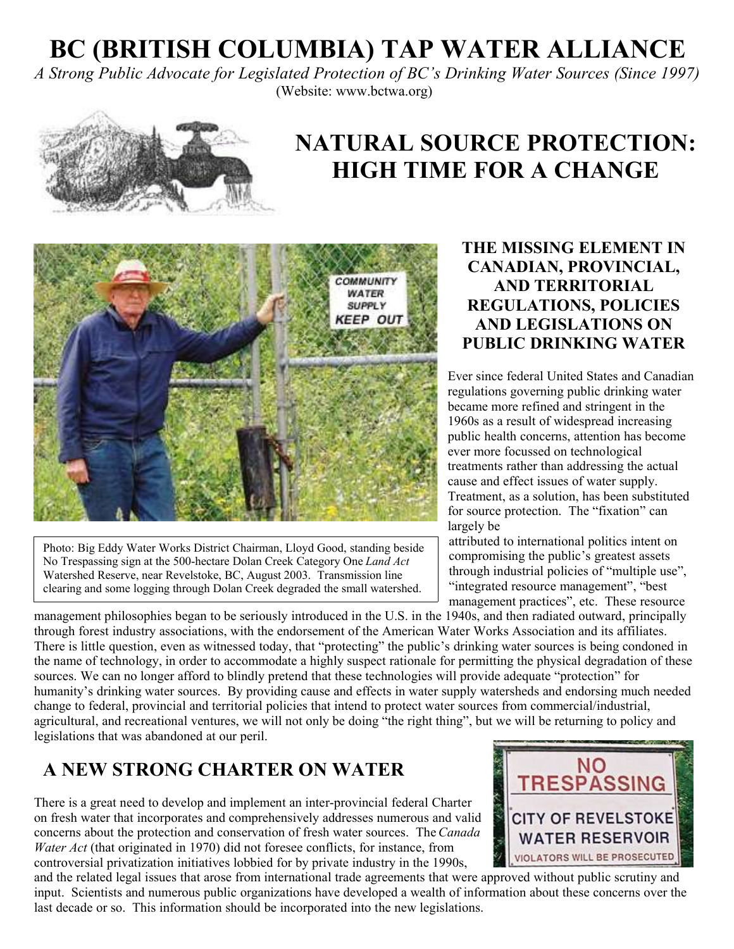# **BC (BRITISH COLUMBIA) TAP WATER ALLIANCE**

*A Strong Public Advocate for Legislated Protection of BC's Drinking Water Sources (Since 1997)* (Website: www.bctwa.org)



# **NATURAL SOURCE PROTECTION: HIGH TIME FOR A CHANGE**



Photo: Big Eddy Water Works District Chairman, Lloyd Good, standing beside No Trespassing sign at the 500-hectare Dolan Creek Category One*Land Act* Watershed Reserve, near Revelstoke, BC, August 2003. Transmission line clearing and some logging through Dolan Creek degraded the small watershed.

#### **THE MISSING ELEMENT IN CANADIAN, PROVINCIAL, AND TERRITORIAL REGULATIONS, POLICIES AND LEGISLATIONS ON PUBLIC DRINKING WATER**

Ever since federal United States and Canadian regulations governing public drinking water became more refined and stringent in the 1960s as a result of widespread increasing public health concerns, attention has become ever more focussed on technological treatments rather than addressing the actual cause and effect issues of water supply. Treatment, as a solution, has been substituted for source protection. The "fixation" can largely be

 attributed to international politics intent on compromising the public's greatest assets through industrial policies of "multiple use", "integrated resource management", "best management practices", etc. These resource

management philosophies began to be seriously introduced in the U.S. in the 1940s, and then radiated outward, principally through forest industry associations, with the endorsement of the American Water Works Association and its affiliates. There is little question, even as witnessed today, that "protecting" the public's drinking water sources is being condoned in the name of technology, in order to accommodate a highly suspect rationale for permitting the physical degradation of these sources. We can no longer afford to blindly pretend that these technologies will provide adequate "protection" for humanity's drinking water sources. By providing cause and effects in water supply watersheds and endorsing much needed change to federal, provincial and territorial policies that intend to protect water sources from commercial/industrial, agricultural, and recreational ventures, we will not only be doing "the right thing", but we will be returning to policy and legislations that was abandoned at our peril.

### **A NEW STRONG CHARTER ON WATER**

There is a great need to develop and implement an inter-provincial federal Charter on fresh water that incorporates and comprehensively addresses numerous and valid concerns about the protection and conservation of fresh water sources. The*Canada Water Act* (that originated in 1970) did not foresee conflicts, for instance, from controversial privatization initiatives lobbied for by private industry in the 1990s,

and the related legal issues that arose from international trade agreements that were approved without public scrutiny and input. Scientists and numerous public organizations have developed a wealth of information about these concerns over the last decade or so. This information should be incorporated into the new legislations.

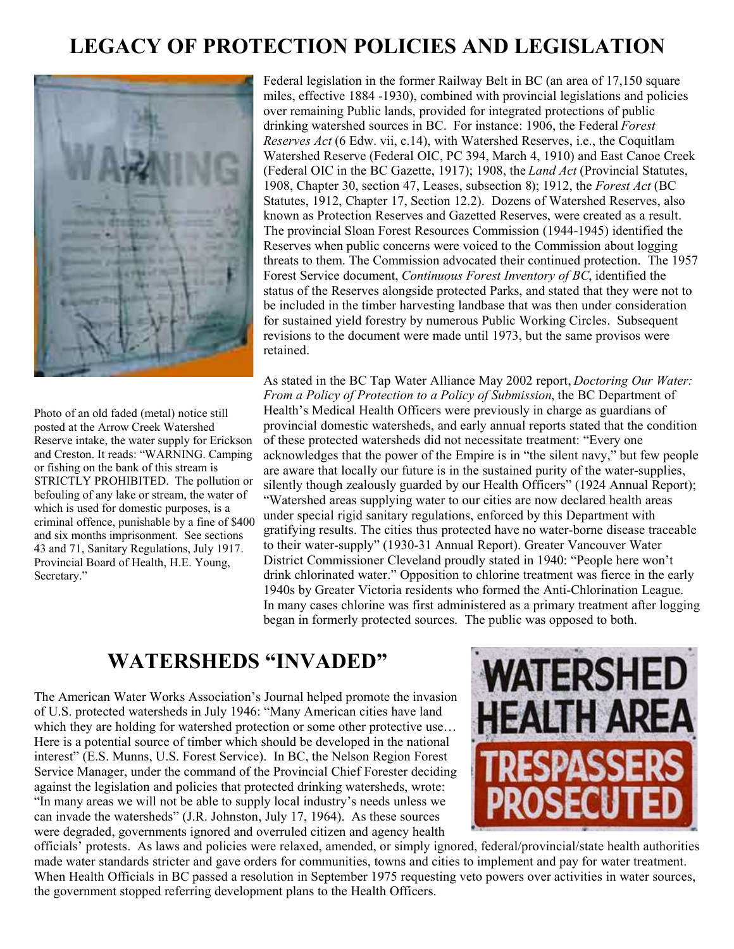### **LEGACY OF PROTECTION POLICIES AND LEGISLATION**



Photo of an old faded (metal) notice still posted at the Arrow Creek Watershed Reserve intake, the water supply for Erickson and Creston. It reads: "WARNING. Camping or fishing on the bank of this stream is STRICTLY PROHIBITED. The pollution or befouling of any lake or stream, the water of which is used for domestic purposes, is a criminal offence, punishable by a fine of \$400 and six months imprisonment. See sections 43 and 71, Sanitary Regulations, July 1917. Provincial Board of Health, H.E. Young, Secretary."

Federal legislation in the former Railway Belt in BC (an area of 17,150 square miles, effective 1884 -1930), combined with provincial legislations and policies over remaining Public lands, provided for integrated protections of public drinking watershed sources in BC. For instance: 1906, the Federal *Forest Reserves Act* (6 Edw. vii, c.14), with Watershed Reserves, i.e., the Coquitlam Watershed Reserve (Federal OIC, PC 394, March 4, 1910) and East Canoe Creek (Federal OIC in the BC Gazette, 1917); 1908, the *Land Act* (Provincial Statutes, 1908, Chapter 30, section 47, Leases, subsection 8); 1912, the *Forest Act* (BC Statutes, 1912, Chapter 17, Section 12.2). Dozens of Watershed Reserves, also known as Protection Reserves and Gazetted Reserves, were created as a result. The provincial Sloan Forest Resources Commission (1944-1945) identified the Reserves when public concerns were voiced to the Commission about logging threats to them. The Commission advocated their continued protection. The 1957 Forest Service document, *Continuous Forest Inventory of BC*, identified the status of the Reserves alongside protected Parks, and stated that they were not to be included in the timber harvesting landbase that was then under consideration for sustained yield forestry by numerous Public Working Circles. Subsequent revisions to the document were made until 1973, but the same provisos were retained.

As stated in the BC Tap Water Alliance May 2002 report, *Doctoring Our Water: From a Policy of Protection to a Policy of Submission*, the BC Department of Health's Medical Health Officers were previously in charge as guardians of provincial domestic watersheds, and early annual reports stated that the condition of these protected watersheds did not necessitate treatment: "Every one acknowledges that the power of the Empire is in "the silent navy," but few people are aware that locally our future is in the sustained purity of the water-supplies, silently though zealously guarded by our Health Officers" (1924 Annual Report); "Watershed areas supplying water to our cities are now declared health areas under special rigid sanitary regulations, enforced by this Department with gratifying results. The cities thus protected have no water-borne disease traceable to their water-supply" (1930-31 Annual Report). Greater Vancouver Water District Commissioner Cleveland proudly stated in 1940: "People here won't drink chlorinated water." Opposition to chlorine treatment was fierce in the early 1940s by Greater Victoria residents who formed the Anti-Chlorination League. In many cases chlorine was first administered as a primary treatment after logging began in formerly protected sources. The public was opposed to both.

### **WATERSHEDS "INVADED"**

The American Water Works Association's Journal helped promote the invasion of U.S. protected watersheds in July 1946: "Many American cities have land which they are holding for watershed protection or some other protective use... Here is a potential source of timber which should be developed in the national interest" (E.S. Munns, U.S. Forest Service). In BC, the Nelson Region Forest Service Manager, under the command of the Provincial Chief Forester deciding against the legislation and policies that protected drinking watersheds, wrote: "In many areas we will not be able to supply local industry's needs unless we can invade the watersheds" (J.R. Johnston, July 17, 1964). As these sources were degraded, governments ignored and overruled citizen and agency health



officials' protests. As laws and policies were relaxed, amended, or simply ignored, federal/provincial/state health authorities made water standards stricter and gave orders for communities, towns and cities to implement and pay for water treatment. When Health Officials in BC passed a resolution in September 1975 requesting veto powers over activities in water sources, the government stopped referring development plans to the Health Officers.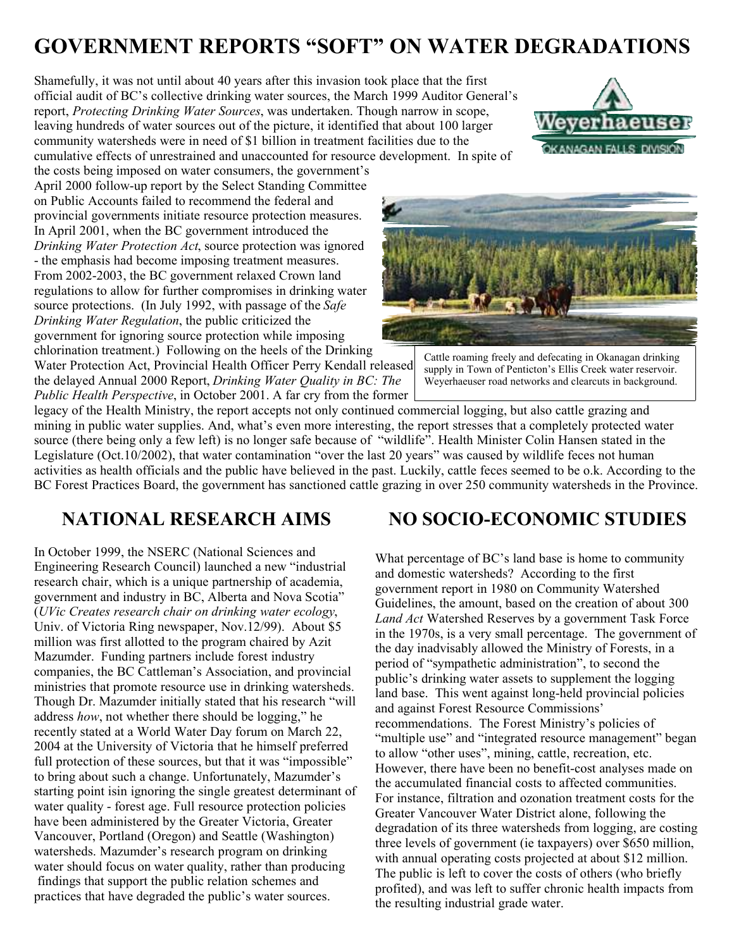## **GOVERNMENT REPORTS "SOFT" ON WATER DEGRADATIONS**

Shamefully, it was not until about 40 years after this invasion took place that the first official audit of BC's collective drinking water sources, the March 1999 Auditor General's report, *Protecting Drinking Water Sources*, was undertaken. Though narrow in scope, leaving hundreds of water sources out of the picture, it identified that about 100 larger community watersheds were in need of \$1 billion in treatment facilities due to the cumulative effects of unrestrained and unaccounted for resource development. In spite of



the costs being imposed on water consumers, the government's April 2000 follow-up report by the Select Standing Committee on Public Accounts failed to recommend the federal and provincial governments initiate resource protection measures. In April 2001, when the BC government introduced the *Drinking Water Protection Act*, source protection was ignored - the emphasis had become imposing treatment measures. From 2002-2003, the BC government relaxed Crown land regulations to allow for further compromises in drinking water source protections. (In July 1992, with passage of the *Safe Drinking Water Regulation*, the public criticized the government for ignoring source protection while imposing chlorination treatment.) Following on the heels of the Drinking

Water Protection Act, Provincial Health Officer Perry Kendall released the delayed Annual 2000 Report, *Drinking Water Quality in BC: The Public Health Perspective*, in October 2001. A far cry from the former



Cattle roaming freely and defecating in Okanagan drinking supply in Town of Penticton's Ellis Creek water reservoir. Weyerhaeuser road networks and clearcuts in background.

legacy of the Health Ministry, the report accepts not only continued commercial logging, but also cattle grazing and mining in public water supplies. And, what's even more interesting, the report stresses that a completely protected water source (there being only a few left) is no longer safe because of "wildlife". Health Minister Colin Hansen stated in the Legislature (Oct.10/2002), that water contamination "over the last 20 years" was caused by wildlife feces not human activities as health officials and the public have believed in the past. Luckily, cattle feces seemed to be o.k. According to the BC Forest Practices Board, the government has sanctioned cattle grazing in over 250 community watersheds in the Province.

#### **NATIONAL RESEARCH AIMS**

In October 1999, the NSERC (National Sciences and Engineering Research Council) launched a new "industrial research chair, which is a unique partnership of academia, government and industry in BC, Alberta and Nova Scotia" (*UVic Creates research chair on drinking water ecology*, Univ. of Victoria Ring newspaper, Nov.12/99). About \$5 million was first allotted to the program chaired by Azit Mazumder. Funding partners include forest industry companies, the BC Cattleman's Association, and provincial ministries that promote resource use in drinking watersheds. Though Dr. Mazumder initially stated that his research "will address *how*, not whether there should be logging," he recently stated at a World Water Day forum on March 22, 2004 at the University of Victoria that he himself preferred full protection of these sources, but that it was "impossible" to bring about such a change. Unfortunately, Mazumder's starting point isin ignoring the single greatest determinant of water quality - forest age. Full resource protection policies have been administered by the Greater Victoria, Greater Vancouver, Portland (Oregon) and Seattle (Washington) watersheds. Mazumder's research program on drinking water should focus on water quality, rather than producing findings that support the public relation schemes and practices that have degraded the public's water sources.

#### **NO SOCIO-ECONOMIC STUDIES**

What percentage of BC's land base is home to community and domestic watersheds? According to the first government report in 1980 on Community Watershed Guidelines, the amount, based on the creation of about 300 *Land Act* Watershed Reserves by a government Task Force in the 1970s, is a very small percentage. The government of the day inadvisably allowed the Ministry of Forests, in a period of "sympathetic administration", to second the public's drinking water assets to supplement the logging land base. This went against long-held provincial policies and against Forest Resource Commissions' recommendations. The Forest Ministry's policies of "multiple use" and "integrated resource management" began to allow "other uses", mining, cattle, recreation, etc. However, there have been no benefit-cost analyses made on the accumulated financial costs to affected communities. For instance, filtration and ozonation treatment costs for the Greater Vancouver Water District alone, following the degradation of its three watersheds from logging, are costing three levels of government (ie taxpayers) over \$650 million, with annual operating costs projected at about \$12 million. The public is left to cover the costs of others (who briefly profited), and was left to suffer chronic health impacts from the resulting industrial grade water.